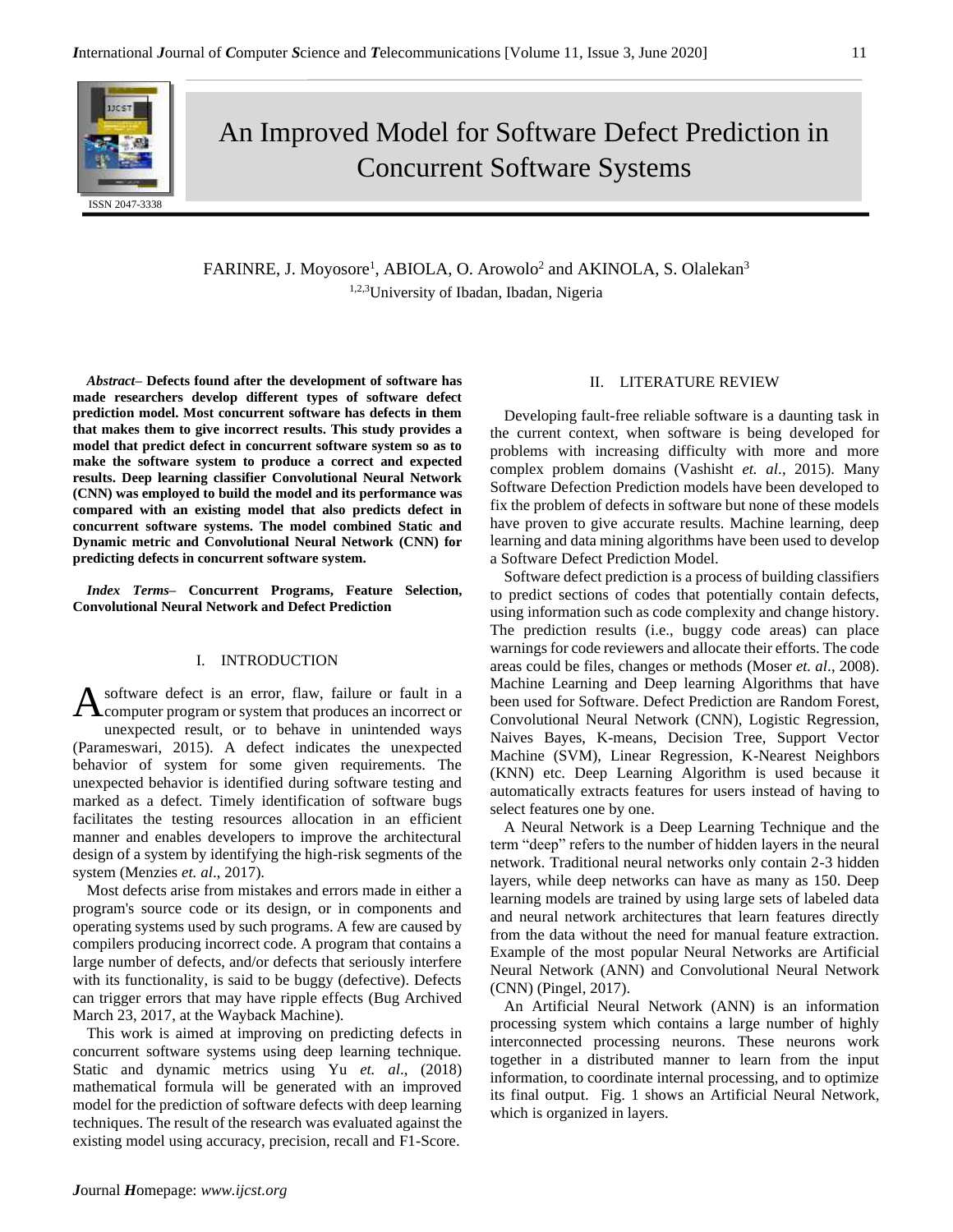

# An Improved Model for Software Defect Prediction in Concurrent Software Systems

FARINRE, J. Moyosore<sup>1</sup>, ABIOLA, O. Arowolo<sup>2</sup> and AKINOLA, S. Olalekan<sup>3</sup> 1,2,3University of Ibadan, Ibadan, Nigeria

*Abstract–* **Defects found after the development of software has made researchers develop different types of software defect prediction model. Most concurrent software has defects in them that makes them to give incorrect results. This study provides a model that predict defect in concurrent software system so as to make the software system to produce a correct and expected results. Deep learning classifier Convolutional Neural Network (CNN) was employed to build the model and its performance was compared with an existing model that also predicts defect in concurrent software systems. The model combined Static and Dynamic metric and Convolutional Neural Network (CNN) for predicting defects in concurrent software system.** 

*Index Terms–* **Concurrent Programs, Feature Selection, Convolutional Neural Network and Defect Prediction**

# I. INTRODUCTION

software defect is an error, flaw, failure or fault in a A software defect is an error, flaw, failure or fault in a computer program or system that produces an incorrect or unexpected result, or to behave in unintended ways (Parameswari, 2015). A defect indicates the unexpected behavior of system for some given requirements. The unexpected behavior is identified during software testing and marked as a defect. Timely identification of software bugs facilitates the testing resources allocation in an efficient manner and enables developers to improve the architectural design of a system by identifying the high-risk segments of the system (Menzies *et. al*., 2017).

Most defects arise from mistakes and errors made in either a program's source code or its design, or in components and operating systems used by such programs. A few are caused by compilers producing incorrect code. A program that contains a large number of defects, and/or defects that seriously interfere with its functionality, is said to be buggy (defective). Defects can trigger errors that may have ripple effects (Bug Archived March 23, 2017, at the Wayback Machine).

This work is aimed at improving on predicting defects in concurrent software systems using deep learning technique. Static and dynamic metrics using Yu *et. al*., (2018) mathematical formula will be generated with an improved model for the prediction of software defects with deep learning techniques. The result of the research was evaluated against the existing model using accuracy, precision, recall and F1-Score.

## II. LITERATURE REVIEW

Developing fault-free reliable software is a daunting task in the current context, when software is being developed for problems with increasing difficulty with more and more complex problem domains (Vashisht *et. al*., 2015). Many Software Defection Prediction models have been developed to fix the problem of defects in software but none of these models have proven to give accurate results. Machine learning, deep learning and data mining algorithms have been used to develop a Software Defect Prediction Model.

Software defect prediction is a process of building classifiers to predict sections of codes that potentially contain defects, using information such as code complexity and change history. The prediction results (i.e., buggy code areas) can place warnings for code reviewers and allocate their efforts. The code areas could be files, changes or methods (Moser *et. al*., 2008). Machine Learning and Deep learning Algorithms that have been used for Software. Defect Prediction are Random Forest, Convolutional Neural Network (CNN), Logistic Regression, Naives Bayes, K-means, Decision Tree, Support Vector Machine (SVM), Linear Regression, K-Nearest Neighbors (KNN) etc. Deep Learning Algorithm is used because it automatically extracts features for users instead of having to select features one by one.

A Neural Network is a Deep Learning Technique and the term "deep" refers to the number of hidden layers in the neural network. Traditional neural networks only contain 2-3 hidden layers, while deep networks can have as many as 150. Deep learning models are trained by using large sets of labeled data and neural network architectures that learn features directly from the data without the need for manual feature extraction. Example of the most popular Neural Networks are Artificial Neural Network (ANN) and Convolutional Neural Network (CNN) (Pingel, 2017).

An Artificial Neural Network (ANN) is an information processing system which contains a large number of highly interconnected processing neurons. These neurons work together in a distributed manner to learn from the input information, to coordinate internal processing, and to optimize its final output. Fig. 1 shows an Artificial Neural Network, which is organized in layers.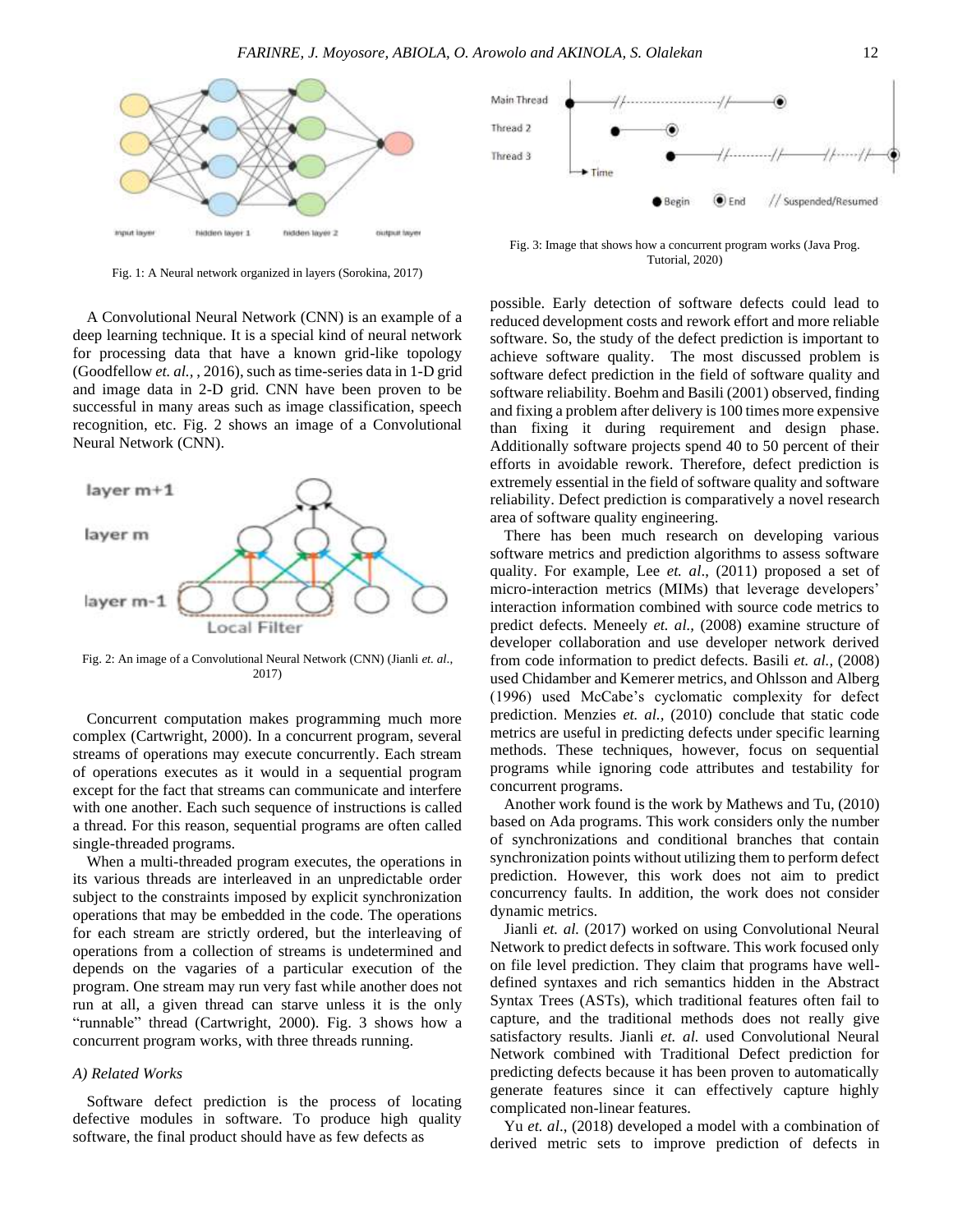

Fig. 1: A Neural network organized in layers (Sorokina, 2017)

A Convolutional Neural Network (CNN) is an example of a deep learning technique. It is a special kind of neural network for processing data that have a known grid-like topology (Goodfellow *et. al.,* , 2016), such as time-series data in 1-D grid and image data in 2-D grid. CNN have been proven to be successful in many areas such as image classification, speech recognition, etc. Fig. 2 shows an image of a Convolutional Neural Network (CNN).



Fig. 2: An image of a Convolutional Neural Network (CNN) (Jianli *et. al*., 2017)

Concurrent computation makes programming much more complex (Cartwright, 2000). In a concurrent program, several streams of operations may execute concurrently. Each stream of operations executes as it would in a sequential program except for the fact that streams can communicate and interfere with one another. Each such sequence of instructions is called a thread. For this reason, sequential programs are often called single-threaded programs.

When a multi-threaded program executes, the operations in its various threads are interleaved in an unpredictable order subject to the constraints imposed by explicit synchronization operations that may be embedded in the code. The operations for each stream are strictly ordered, but the interleaving of operations from a collection of streams is undetermined and depends on the vagaries of a particular execution of the program. One stream may run very fast while another does not run at all, a given thread can starve unless it is the only "runnable" thread (Cartwright, 2000). Fig. 3 shows how a concurrent program works, with three threads running.

#### *A) Related Works*

Software defect prediction is the process of locating defective modules in software. To produce high quality software, the final product should have as few defects as



Fig. 3: Image that shows how a concurrent program works (Java Prog. Tutorial, 2020)

possible. Early detection of software defects could lead to reduced development costs and rework effort and more reliable software. So, the study of the defect prediction is important to achieve software quality. The most discussed problem is software defect prediction in the field of software quality and software reliability. Boehm and Basili (2001) observed, finding and fixing a problem after delivery is 100 times more expensive than fixing it during requirement and design phase. Additionally software projects spend 40 to 50 percent of their efforts in avoidable rework. Therefore, defect prediction is extremely essential in the field of software quality and software reliability. Defect prediction is comparatively a novel research area of software quality engineering.

There has been much research on developing various software metrics and prediction algorithms to assess software quality. For example, Lee *et. al*., (2011) proposed a set of micro-interaction metrics (MIMs) that leverage developers' interaction information combined with source code metrics to predict defects. Meneely *et. al.,* (2008) examine structure of developer collaboration and use developer network derived from code information to predict defects. Basili *et. al.,* (2008) used Chidamber and Kemerer metrics, and Ohlsson and Alberg (1996) used McCabe's cyclomatic complexity for defect prediction. Menzies *et. al.,* (2010) conclude that static code metrics are useful in predicting defects under specific learning methods. These techniques, however, focus on sequential programs while ignoring code attributes and testability for concurrent programs.

Another work found is the work by Mathews and Tu*,* (2010) based on Ada programs. This work considers only the number of synchronizations and conditional branches that contain synchronization points without utilizing them to perform defect prediction. However, this work does not aim to predict concurrency faults. In addition, the work does not consider dynamic metrics.

Jianli *et. al.* (2017) worked on using Convolutional Neural Network to predict defects in software. This work focused only on file level prediction. They claim that programs have welldefined syntaxes and rich semantics hidden in the Abstract Syntax Trees (ASTs), which traditional features often fail to capture, and the traditional methods does not really give satisfactory results. Jianli *et. al.* used Convolutional Neural Network combined with Traditional Defect prediction for predicting defects because it has been proven to automatically generate features since it can effectively capture highly complicated non-linear features.

Yu *et. al*., (2018) developed a model with a combination of derived metric sets to improve prediction of defects in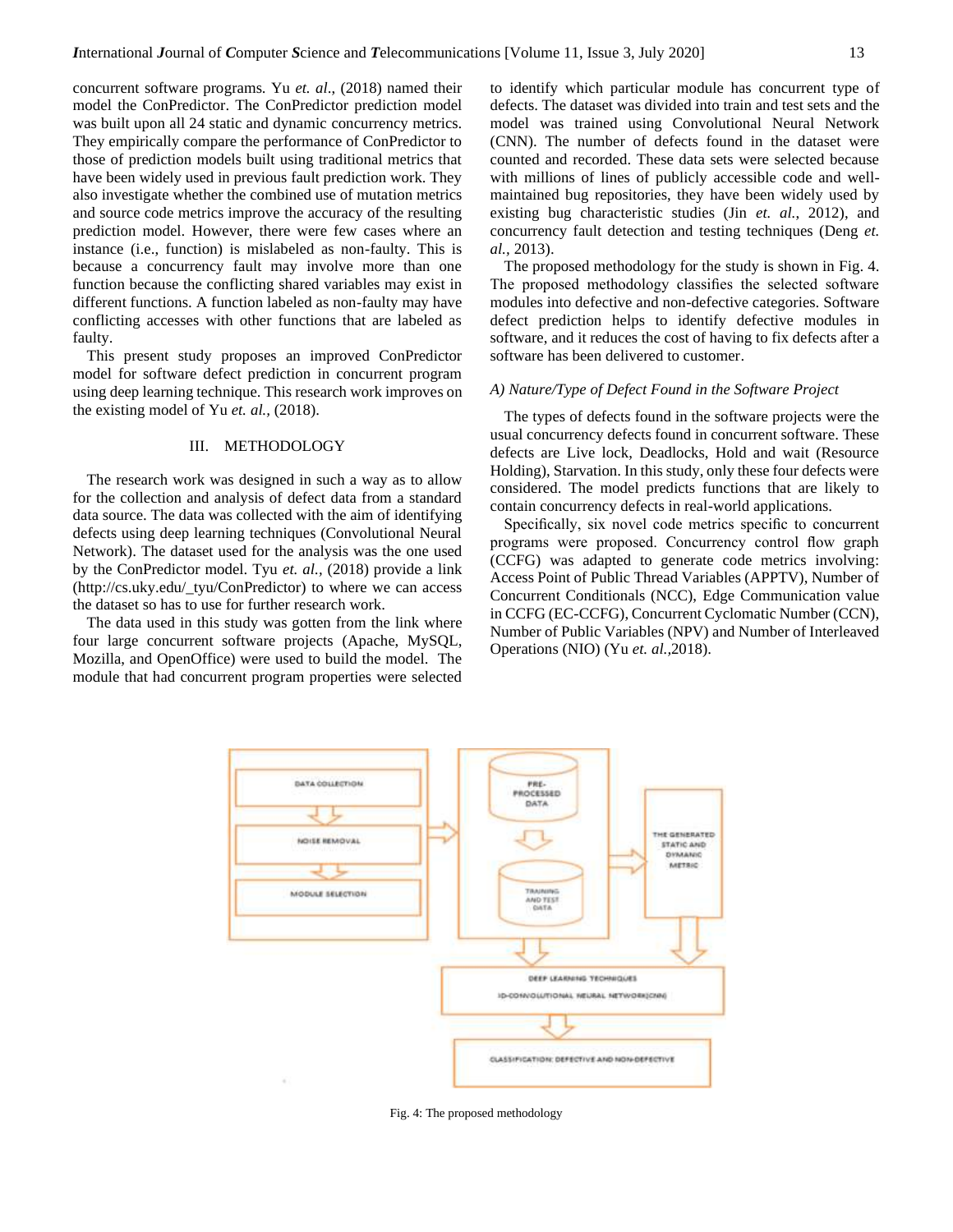concurrent software programs. Yu *et. al*., (2018) named their model the ConPredictor. The ConPredictor prediction model was built upon all 24 static and dynamic concurrency metrics. They empirically compare the performance of ConPredictor to those of prediction models built using traditional metrics that have been widely used in previous fault prediction work. They also investigate whether the combined use of mutation metrics and source code metrics improve the accuracy of the resulting prediction model. However, there were few cases where an instance (i.e., function) is mislabeled as non-faulty. This is because a concurrency fault may involve more than one function because the conflicting shared variables may exist in different functions. A function labeled as non-faulty may have conflicting accesses with other functions that are labeled as faulty.

This present study proposes an improved ConPredictor model for software defect prediction in concurrent program using deep learning technique. This research work improves on the existing model of Yu *et. al.,* (2018).

### III. METHODOLOGY

The research work was designed in such a way as to allow for the collection and analysis of defect data from a standard data source. The data was collected with the aim of identifying defects using deep learning techniques (Convolutional Neural Network). The dataset used for the analysis was the one used by the ConPredictor model. Tyu *et. al.,* (2018) provide a link (http://cs.uky.edu/\_tyu/ConPredictor) to where we can access the dataset so has to use for further research work.

The data used in this study was gotten from the link where four large concurrent software projects (Apache, MySQL, Mozilla, and OpenOffice) were used to build the model. The module that had concurrent program properties were selected to identify which particular module has concurrent type of defects. The dataset was divided into train and test sets and the model was trained using Convolutional Neural Network (CNN). The number of defects found in the dataset were counted and recorded. These data sets were selected because with millions of lines of publicly accessible code and wellmaintained bug repositories, they have been widely used by existing bug characteristic studies (Jin *et. al.*, 2012), and concurrency fault detection and testing techniques (Deng *et. al.,* 2013).

The proposed methodology for the study is shown in Fig. 4. The proposed methodology classifies the selected software modules into defective and non-defective categories. Software defect prediction helps to identify defective modules in software, and it reduces the cost of having to fix defects after a software has been delivered to customer.

## *A) Nature/Type of Defect Found in the Software Project*

The types of defects found in the software projects were the usual concurrency defects found in concurrent software. These defects are Live lock, Deadlocks, Hold and wait (Resource Holding), Starvation. In this study, only these four defects were considered. The model predicts functions that are likely to contain concurrency defects in real-world applications.

Specifically, six novel code metrics specific to concurrent programs were proposed. Concurrency control flow graph (CCFG) was adapted to generate code metrics involving: Access Point of Public Thread Variables (APPTV), Number of Concurrent Conditionals (NCC), Edge Communication value in CCFG (EC-CCFG), Concurrent Cyclomatic Number (CCN), Number of Public Variables (NPV) and Number of Interleaved Operations (NIO) (Yu *et. al.,*2018).



Fig. 4: The proposed methodology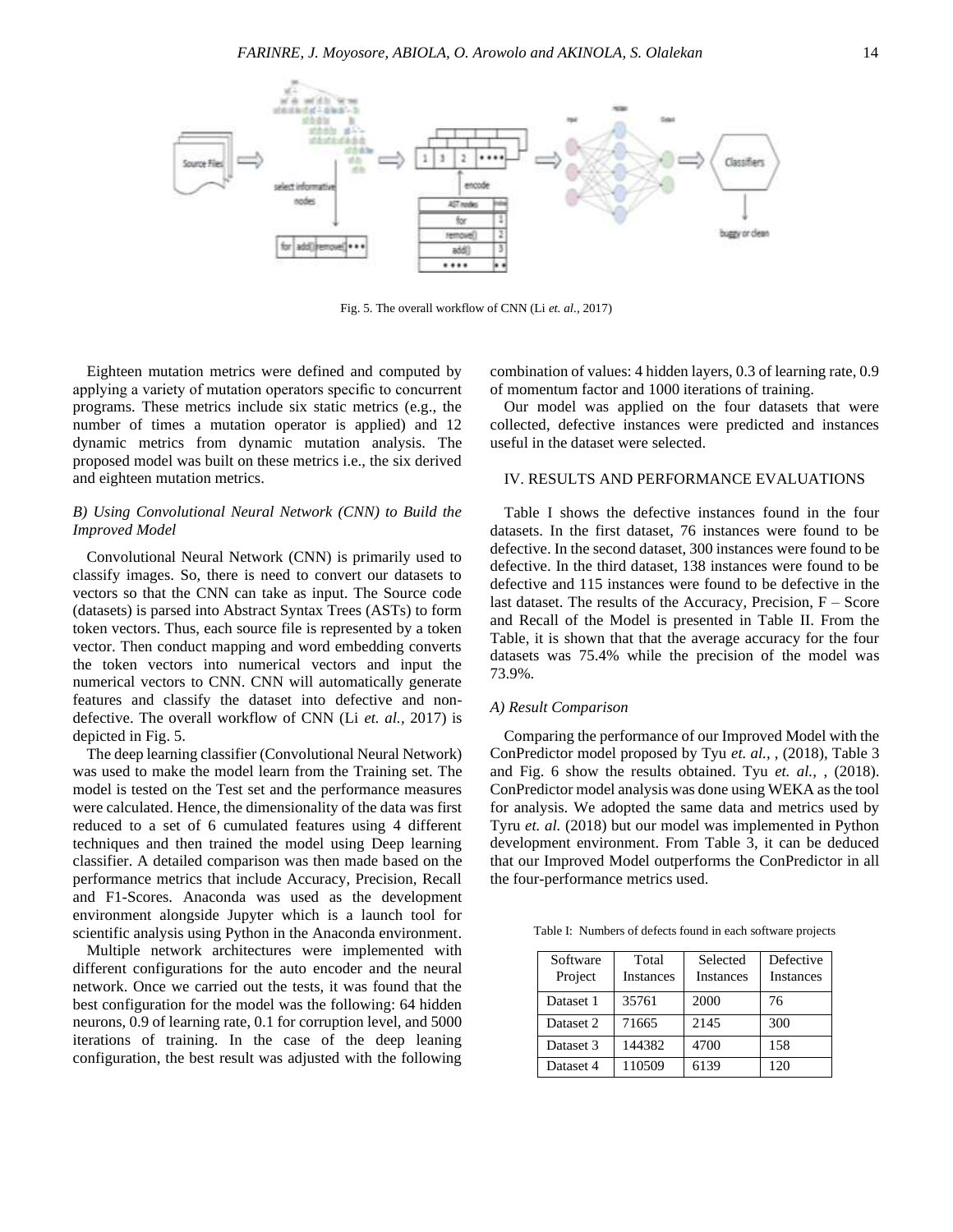

Fig. 5. The overall workflow of CNN (Li *et. al.,* 2017)

Eighteen mutation metrics were defined and computed by applying a variety of mutation operators specific to concurrent programs. These metrics include six static metrics (e.g., the number of times a mutation operator is applied) and 12 dynamic metrics from dynamic mutation analysis. The proposed model was built on these metrics i.e., the six derived and eighteen mutation metrics.

# *B) Using Convolutional Neural Network (CNN) to Build the Improved Model*

Convolutional Neural Network (CNN) is primarily used to classify images. So, there is need to convert our datasets to vectors so that the CNN can take as input. The Source code (datasets) is parsed into Abstract Syntax Trees (ASTs) to form token vectors. Thus, each source file is represented by a token vector. Then conduct mapping and word embedding converts the token vectors into numerical vectors and input the numerical vectors to CNN. CNN will automatically generate features and classify the dataset into defective and nondefective. The overall workflow of CNN (Li *et. al.,* 2017) is depicted in Fig. 5.

The deep learning classifier (Convolutional Neural Network) was used to make the model learn from the Training set. The model is tested on the Test set and the performance measures were calculated. Hence, the dimensionality of the data was first reduced to a set of 6 cumulated features using 4 different techniques and then trained the model using Deep learning classifier. A detailed comparison was then made based on the performance metrics that include Accuracy, Precision, Recall and F1-Scores. Anaconda was used as the development environment alongside Jupyter which is a launch tool for scientific analysis using Python in the Anaconda environment.

Multiple network architectures were implemented with different configurations for the auto encoder and the neural network. Once we carried out the tests, it was found that the best configuration for the model was the following: 64 hidden neurons, 0.9 of learning rate, 0.1 for corruption level, and 5000 iterations of training. In the case of the deep leaning configuration, the best result was adjusted with the following combination of values: 4 hidden layers, 0.3 of learning rate, 0.9 of momentum factor and 1000 iterations of training.

Our model was applied on the four datasets that were collected, defective instances were predicted and instances useful in the dataset were selected.

# IV. RESULTS AND PERFORMANCE EVALUATIONS

Table I shows the defective instances found in the four datasets. In the first dataset, 76 instances were found to be defective. In the second dataset, 300 instances were found to be defective. In the third dataset, 138 instances were found to be defective and 115 instances were found to be defective in the last dataset. The results of the Accuracy, Precision,  $F - Score$ and Recall of the Model is presented in Table II. From the Table, it is shown that that the average accuracy for the four datasets was 75.4% while the precision of the model was 73.9%.

#### *A) Result Comparison*

Comparing the performance of our Improved Model with the ConPredictor model proposed by Tyu *et. al.,* , (2018), Table 3 and Fig. 6 show the results obtained. Tyu *et. al.,* , (2018). ConPredictor model analysis was done using WEKA as the tool for analysis. We adopted the same data and metrics used by Tyru *et. al.* (2018) but our model was implemented in Python development environment. From Table 3, it can be deduced that our Improved Model outperforms the ConPredictor in all the four-performance metrics used.

Table I: Numbers of defects found in each software projects

| Software<br>Project | Total<br><b>Instances</b> | Selected<br><b>Instances</b> | Defective<br><b>Instances</b> |
|---------------------|---------------------------|------------------------------|-------------------------------|
| Dataset 1           | 35761                     | 2000                         | 76                            |
| Dataset 2           | 71665                     | 2145                         | 300                           |
| Dataset 3           | 144382                    | 4700                         | 158                           |
| Dataset 4           | 110509                    | 6139                         | 120                           |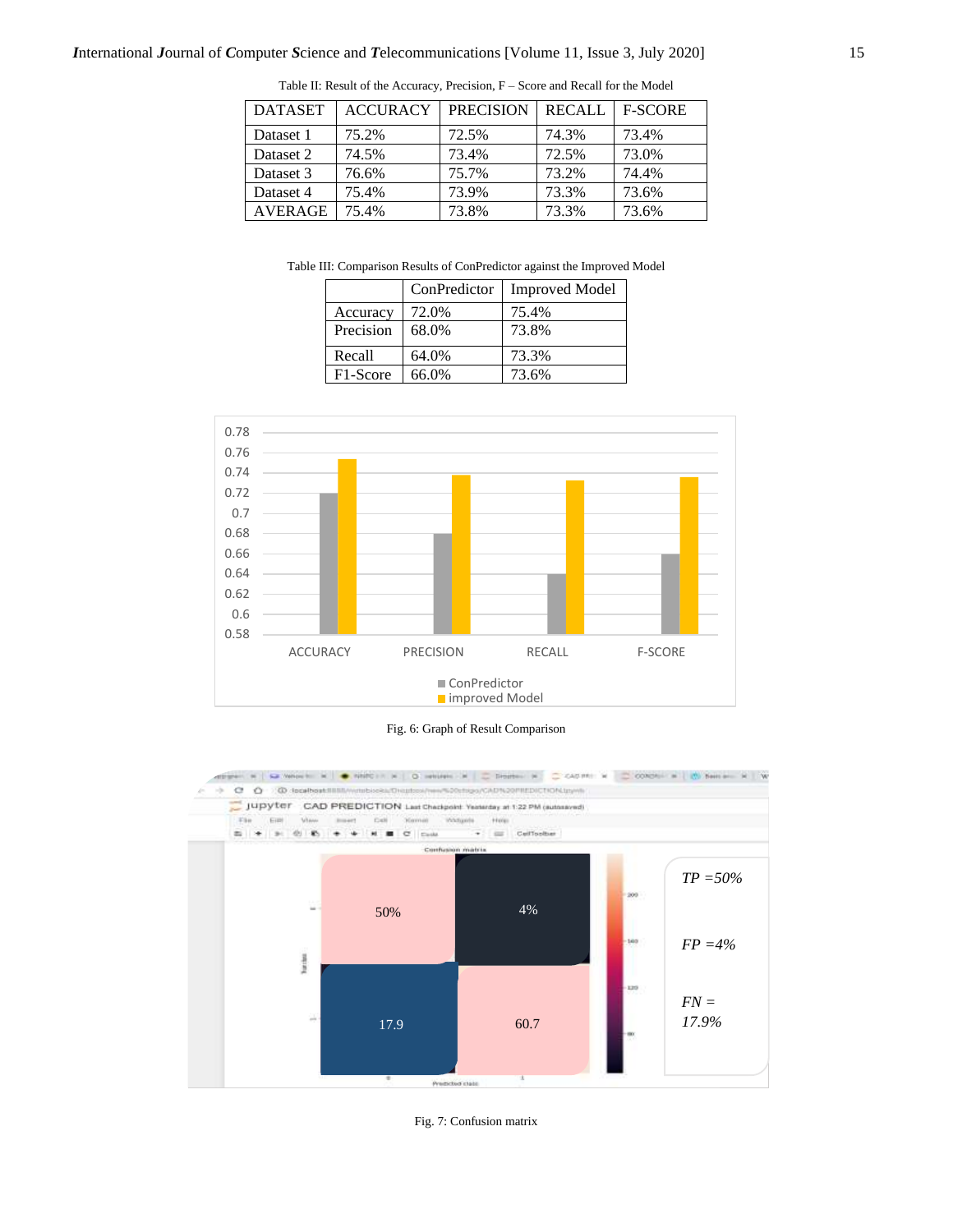| <b>DATASET</b> | <b>ACCURACY</b> | <b>PRECISION</b> | <b>RECALL</b> | <b>F-SCORE</b> |
|----------------|-----------------|------------------|---------------|----------------|
| Dataset 1      | 75.2%           | 72.5%            | 74.3%         | 73.4%          |
| Dataset 2      | 74.5%           | 73.4%            | 72.5%         | 73.0%          |
| Dataset 3      | 76.6%           | 75.7%            | 73.2%         | 74.4%          |
| Dataset 4      | 75.4%           | 73.9%            | 73.3%         | 73.6%          |
| <b>AVERAGE</b> | 75.4%           | 73.8%            | 73.3%         | 73.6%          |

Table II: Result of the Accuracy, Precision, F – Score and Recall for the Model

Table III: Comparison Results of ConPredictor against the Improved Model

|           | ConPredictor | <b>Improved Model</b> |
|-----------|--------------|-----------------------|
| Accuracy  | 72.0%        | 75.4%                 |
| Precision | 68.0%        | 73.8%                 |
| Recall    | 64.0%        | 73.3%                 |
| F1-Score  | 66.0%        | 73.6%                 |



Fig. 6: Graph of Result Comparison



Fig. 7: Confusion matrix